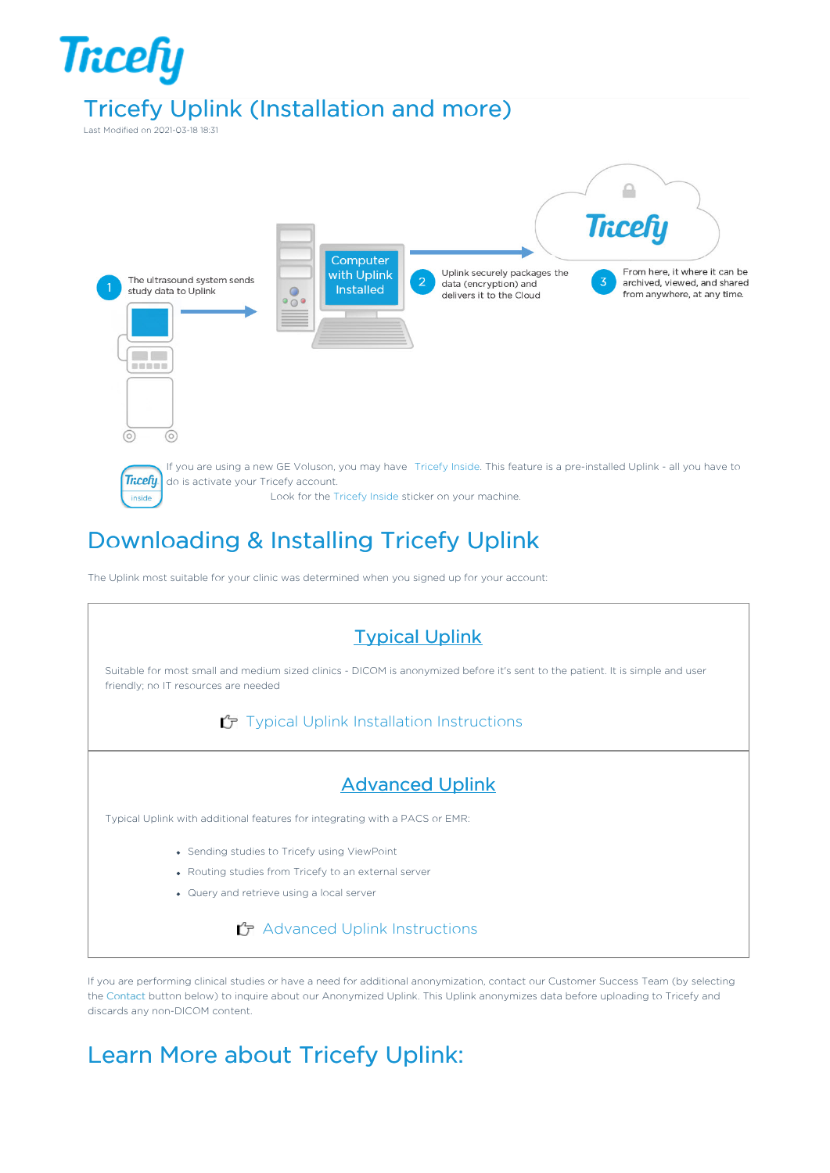

## Downloading & Installing Tricefy Uplink

The Uplink most suitable for your clinic was determined when you signed up for your account:



If you are performing clinical studies or have a need for additional anonymization, contact our Customer Success Team (by selecting the Contact button below) to inquire about our Anonymized Uplink. This Uplink anonymizes data before uploading to Tricefy and discards any non-DICOM content.

## Learn More about Tricefy Uplink: